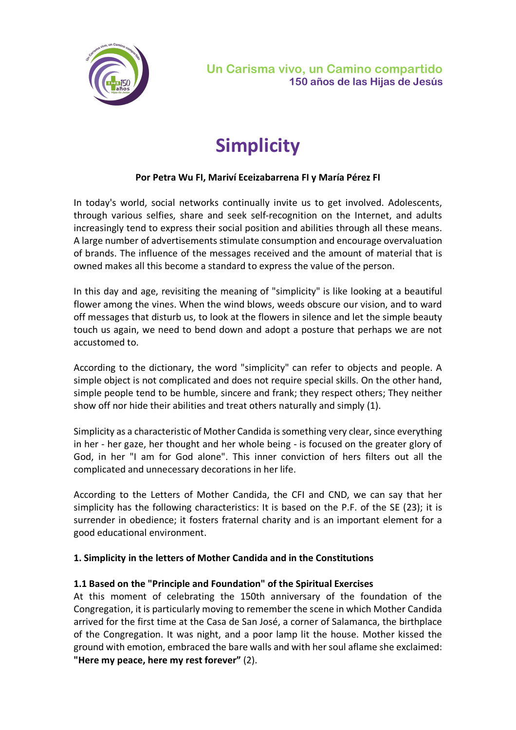

# **Simplicity**

### **Por Petra Wu FI, Mariví Eceizabarrena FI y María Pérez FI**

In today's world, social networks continually invite us to get involved. Adolescents, through various selfies, share and seek self-recognition on the Internet, and adults increasingly tend to express their social position and abilities through all these means. A large number of advertisements stimulate consumption and encourage overvaluation of brands. The influence of the messages received and the amount of material that is owned makes all this become a standard to express the value of the person.

In this day and age, revisiting the meaning of "simplicity" is like looking at a beautiful flower among the vines. When the wind blows, weeds obscure our vision, and to ward off messages that disturb us, to look at the flowers in silence and let the simple beauty touch us again, we need to bend down and adopt a posture that perhaps we are not accustomed to.

According to the dictionary, the word "simplicity" can refer to objects and people. A simple object is not complicated and does not require special skills. On the other hand, simple people tend to be humble, sincere and frank; they respect others; They neither show off nor hide their abilities and treat others naturally and simply (1).

Simplicity as a characteristic of Mother Candida is something very clear, since everything in her - her gaze, her thought and her whole being - is focused on the greater glory of God, in her "I am for God alone". This inner conviction of hers filters out all the complicated and unnecessary decorations in her life.

According to the Letters of Mother Candida, the CFI and CND, we can say that her simplicity has the following characteristics: It is based on the P.F. of the SE (23); it is surrender in obedience; it fosters fraternal charity and is an important element for a good educational environment.

#### **1. Simplicity in the letters of Mother Candida and in the Constitutions**

#### **1.1 Based on the "Principle and Foundation" of the Spiritual Exercises**

At this moment of celebrating the 150th anniversary of the foundation of the Congregation, it is particularly moving to remember the scene in which Mother Candida arrived for the first time at the Casa de San José, a corner of Salamanca, the birthplace of the Congregation. It was night, and a poor lamp lit the house. Mother kissed the ground with emotion, embraced the bare walls and with her soul aflame she exclaimed: **"Here my peace, here my rest forever"** (2).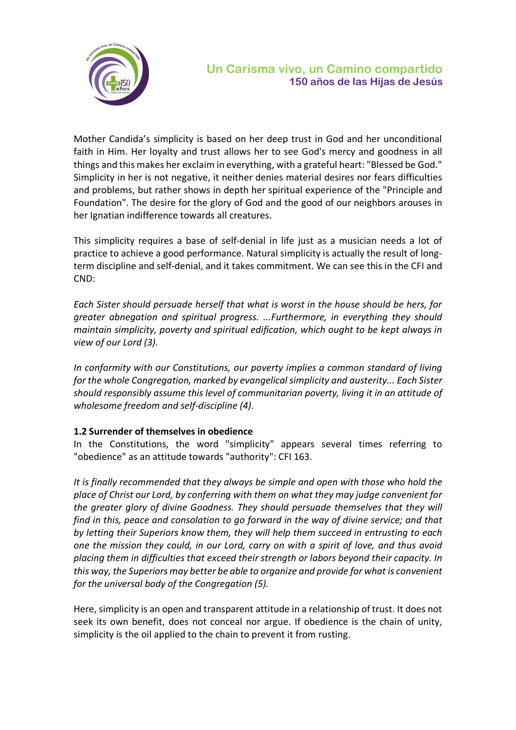

Mother Candida's simplicity is based on her deep trust in God and her unconditional faith in Him. Her loyalty and trust allows her to see God's mercy and goodness in all things and this makes her exclaim in everything, with a grateful heart: "Blessed be God." Simplicity in her is not negative, it neither denies material desires nor fears difficulties and problems, but rather shows in depth her spiritual experience of the "Principle and Foundation". The desire for the glory of God and the good of our neighbors arouses in her Ignatian indifference towards all creatures.

This simplicity requires a base of self-denial in life just as a musician needs a lot of practice to achieve a good performance. Natural simplicity is actually the result of longterm discipline and self-denial, and it takes commitment. We can see this in the CFI and CND:

*Each Sister should persuade herself that what is worst in the house should be hers, for greater abnegation and spiritual progress. ...Furthermore, in everything they should maintain simplicity, poverty and spiritual edification, which ought to be kept always in view of our Lord (3).*

*In conformity with our Constitutions, our poverty implies a common standard of living for the whole Congregation, marked by evangelical simplicity and austerity... Each Sister should responsibly assume this level of communitarian poverty, living it in an attitude of wholesome freedom and self-discipline (4)*.

#### **1.2 Surrender of themselves in obedience**

In the Constitutions, the word "simplicity" appears several times referring to "obedience" as an attitude towards "authority": CFI 163.

*It is finally recommended that they always be simple and open with those who hold the place of Christ our Lord, by conferring with them on what they may judge convenient for the greater glory of divine Goodness. They should persuade themselves that they will find in this, peace and consolation to go forward in the way of divine service; and that by letting their Superiors know them, they will help them succeed in entrusting to each one the mission they could, in our Lord, carry on with a spirit of love, and thus avoid placing them in difficulties that exceed their strength or labors beyond their capacity. In this way, the Superiors may better be able to organize and provide for what is convenient for the universal body of the Congregation (5).*

Here, simplicity is an open and transparent attitude in a relationship of trust. It does not seek its own benefit, does not conceal nor argue. If obedience is the chain of unity, simplicity is the oil applied to the chain to prevent it from rusting.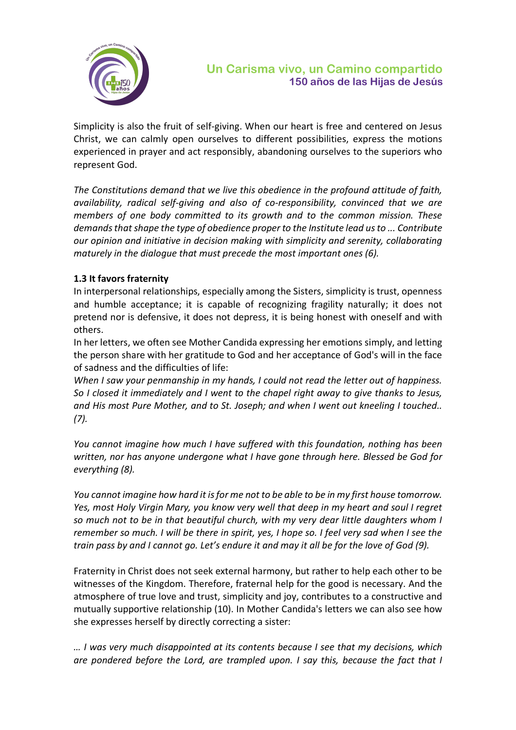

Simplicity is also the fruit of self-giving. When our heart is free and centered on Jesus Christ, we can calmly open ourselves to different possibilities, express the motions experienced in prayer and act responsibly, abandoning ourselves to the superiors who represent God.

*The Constitutions demand that we live this obedience in the profound attitude of faith, availability, radical self-giving and also of co-responsibility, convinced that we are members of one body committed to its growth and to the common mission. These demands that shape the type of obedience proper to the Institute lead us to ... Contribute our opinion and initiative in decision making with simplicity and serenity, collaborating maturely in the dialogue that must precede the most important ones (6).*

## **1.3 It favors fraternity**

In interpersonal relationships, especially among the Sisters, simplicity is trust, openness and humble acceptance; it is capable of recognizing fragility naturally; it does not pretend nor is defensive, it does not depress, it is being honest with oneself and with others.

In her letters, we often see Mother Candida expressing her emotions simply, and letting the person share with her gratitude to God and her acceptance of God's will in the face of sadness and the difficulties of life:

*When I saw your penmanship in my hands, I could not read the letter out of happiness. So I closed it immediately and I went to the chapel right away to give thanks to Jesus, and His most Pure Mother, and to St. Joseph; and when I went out kneeling I touched.. (7).*

*You cannot imagine how much I have suffered with this foundation, nothing has been written, nor has anyone undergone what I have gone through here. Blessed be God for everything (8).*

*You cannot imagine how hard it is for me not to be able to be in my first house tomorrow. Yes, most Holy Virgin Mary, you know very well that deep in my heart and soul I regret so much not to be in that beautiful church, with my very dear little daughters whom I remember so much. I will be there in spirit, yes, I hope so. I feel very sad when I see the train pass by and I cannot go. Let's endure it and may it all be for the love of God (9).*

Fraternity in Christ does not seek external harmony, but rather to help each other to be witnesses of the Kingdom. Therefore, fraternal help for the good is necessary. And the atmosphere of true love and trust, simplicity and joy, contributes to a constructive and mutually supportive relationship (10). In Mother Candida's letters we can also see how she expresses herself by directly correcting a sister:

*… I was very much disappointed at its contents because I see that my decisions, which are pondered before the Lord, are trampled upon. I say this, because the fact that I*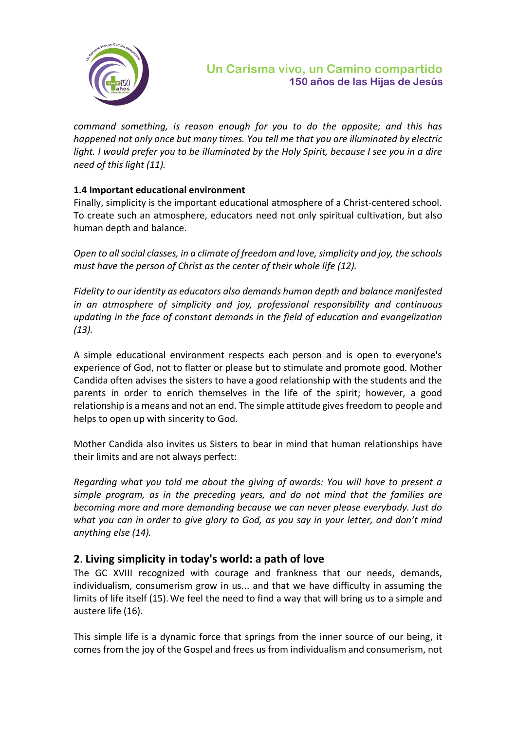

*command something, is reason enough for you to do the opposite; and this has happened not only once but many times. You tell me that you are illuminated by electric light. I would prefer you to be illuminated by the Holy Spirit, because I see you in a dire need of this light (11).*

## **1.4 Important educational environment**

Finally, simplicity is the important educational atmosphere of a Christ-centered school. To create such an atmosphere, educators need not only spiritual cultivation, but also human depth and balance.

*Open to all social classes, in a climate of freedom and love, simplicity and joy, the schools must have the person of Christ as the center of their whole life (12).*

*Fidelity to our identity as educators also demands human depth and balance manifested in an atmosphere of simplicity and joy, professional responsibility and continuous updating in the face of constant demands in the field of education and evangelization (13).*

A simple educational environment respects each person and is open to everyone's experience of God, not to flatter or please but to stimulate and promote good. Mother Candida often advises the sisters to have a good relationship with the students and the parents in order to enrich themselves in the life of the spirit; however, a good relationship is a means and not an end. The simple attitude gives freedom to people and helps to open up with sincerity to God.

Mother Candida also invites us Sisters to bear in mind that human relationships have their limits and are not always perfect:

*Regarding what you told me about the giving of awards: You will have to present a simple program, as in the preceding years, and do not mind that the families are becoming more and more demanding because we can never please everybody. Just do what you can in order to give glory to God, as you say in your letter, and don't mind anything else (14).*

## **2**. **Living simplicity in today's world: a path of love**

The GC XVIII recognized with courage and frankness that our needs, demands, individualism, consumerism grow in us... and that we have difficulty in assuming the limits of life itself (15).We feel the need to find a way that will bring us to a simple and austere life (16).

This simple life is a dynamic force that springs from the inner source of our being, it comes from the joy of the Gospel and frees us from individualism and consumerism, not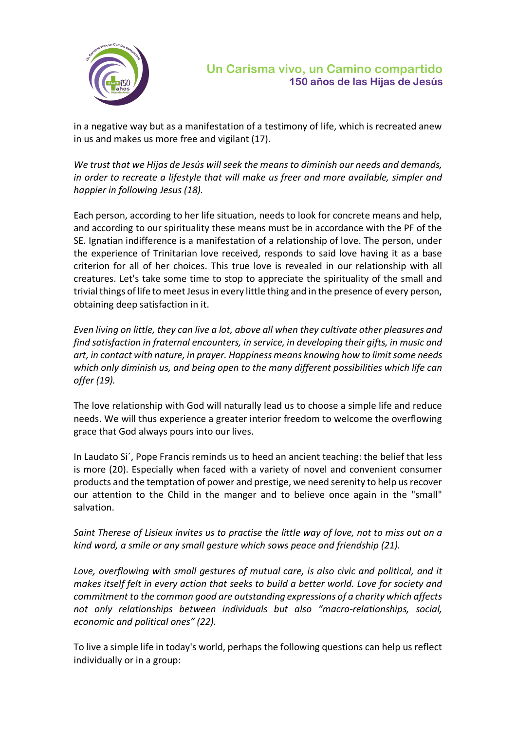

in a negative way but as a manifestation of a testimony of life, which is recreated anew in us and makes us more free and vigilant (17).

*We trust that we Hijas de Jesús will seek the means to diminish our needs and demands, in order to recreate a lifestyle that will make us freer and more available, simpler and happier in following Jesus (18).*

Each person, according to her life situation, needs to look for concrete means and help, and according to our spirituality these means must be in accordance with the PF of the SE. Ignatian indifference is a manifestation of a relationship of love. The person, under the experience of Trinitarian love received, responds to said love having it as a base criterion for all of her choices. This true love is revealed in our relationship with all creatures. Let's take some time to stop to appreciate the spirituality of the small and trivial things of life to meet Jesus in every little thing and in the presence of every person, obtaining deep satisfaction in it.

*Even living on little, they can live a lot, above all when they cultivate other pleasures and find satisfaction in fraternal encounters, in service, in developing their gifts, in music and art, in contact with nature, in prayer. Happiness means knowing how to limitsome needs which only diminish us, and being open to the many different possibilities which life can offer (19).*

The love relationship with God will naturally lead us to choose a simple life and reduce needs. We will thus experience a greater interior freedom to welcome the overflowing grace that God always pours into our lives.

In Laudato Si´, Pope Francis reminds us to heed an ancient teaching: the belief that less is more (20). Especially when faced with a variety of novel and convenient consumer products and the temptation of power and prestige, we need serenity to help us recover our attention to the Child in the manger and to believe once again in the "small" salvation.

*Saint Therese of Lisieux invites us to practise the little way of love, not to miss out on a kind word, a smile or any small gesture which sows peace and friendship (21).*

Love, overflowing with small gestures of mutual care, is also civic and political, and it *makes itself felt in every action that seeks to build a better world. Love for society and commitment to the common good are outstanding expressions of a charity which affects not only relationships between individuals but also "macro-relationships, social, economic and political ones" (22).*

To live a simple life in today's world, perhaps the following questions can help us reflect individually or in a group: